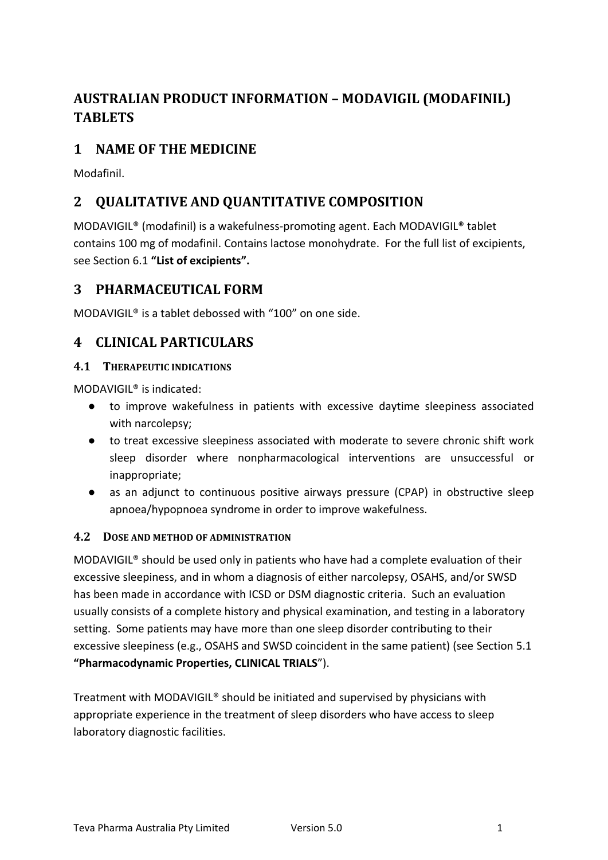# **AUSTRALIAN PRODUCT INFORMATION – MODAVIGIL (MODAFINIL) TABLETS**

# **1 NAME OF THE MEDICINE**

Modafinil.

# **2 QUALITATIVE AND QUANTITATIVE COMPOSITION**

MODAVIGIL® (modafinil) is a wakefulness-promoting agent. Each MODAVIGIL® tablet contains 100 mg of modafinil. Contains lactose monohydrate. For the full list of excipients, see Section 6.1 **"List of excipients".**

# **3 PHARMACEUTICAL FORM**

MODAVIGIL® is a tablet debossed with "100" on one side.

# **4 CLINICAL PARTICULARS**

# **4.1 THERAPEUTIC INDICATIONS**

MODAVIGIL® is indicated:

- to improve wakefulness in patients with excessive daytime sleepiness associated with narcolepsy;
- to treat excessive sleepiness associated with moderate to severe chronic shift work sleep disorder where nonpharmacological interventions are unsuccessful or inappropriate;
- as an adjunct to continuous positive airways pressure (CPAP) in obstructive sleep apnoea/hypopnoea syndrome in order to improve wakefulness.

# **4.2 DOSE AND METHOD OF ADMINISTRATION**

MODAVIGIL® should be used only in patients who have had a complete evaluation of their excessive sleepiness, and in whom a diagnosis of either narcolepsy, OSAHS, and/or SWSD has been made in accordance with ICSD or DSM diagnostic criteria. Such an evaluation usually consists of a complete history and physical examination, and testing in a laboratory setting. Some patients may have more than one sleep disorder contributing to their excessive sleepiness (e.g., OSAHS and SWSD coincident in the same patient) (see Section 5.1 **"Pharmacodynamic Properties, CLINICAL TRIALS**").

Treatment with MODAVIGIL® should be initiated and supervised by physicians with appropriate experience in the treatment of sleep disorders who have access to sleep laboratory diagnostic facilities.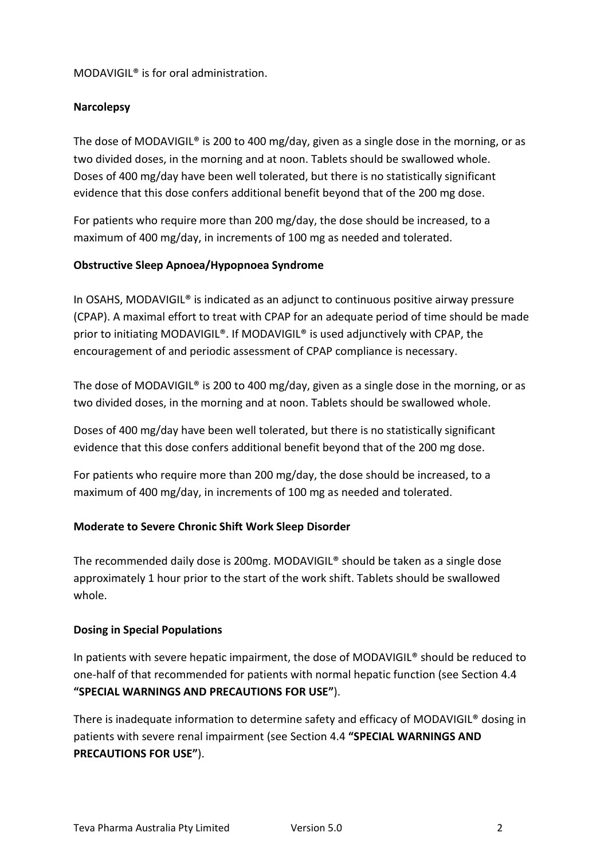### MODAVIGIL® is for oral administration.

### **Narcolepsy**

The dose of MODAVIGIL® is 200 to 400 mg/day, given as a single dose in the morning, or as two divided doses, in the morning and at noon. Tablets should be swallowed whole. Doses of 400 mg/day have been well tolerated, but there is no statistically significant evidence that this dose confers additional benefit beyond that of the 200 mg dose.

For patients who require more than 200 mg/day, the dose should be increased, to a maximum of 400 mg/day, in increments of 100 mg as needed and tolerated.

#### **Obstructive Sleep Apnoea/Hypopnoea Syndrome**

In OSAHS, MODAVIGIL® is indicated as an adjunct to continuous positive airway pressure (CPAP). A maximal effort to treat with CPAP for an adequate period of time should be made prior to initiating MODAVIGIL®. If MODAVIGIL® is used adjunctively with CPAP, the encouragement of and periodic assessment of CPAP compliance is necessary.

The dose of MODAVIGIL® is 200 to 400 mg/day, given as a single dose in the morning, or as two divided doses, in the morning and at noon. Tablets should be swallowed whole.

Doses of 400 mg/day have been well tolerated, but there is no statistically significant evidence that this dose confers additional benefit beyond that of the 200 mg dose.

For patients who require more than 200 mg/day, the dose should be increased, to a maximum of 400 mg/day, in increments of 100 mg as needed and tolerated.

# **Moderate to Severe Chronic Shift Work Sleep Disorder**

The recommended daily dose is 200mg. MODAVIGIL® should be taken as a single dose approximately 1 hour prior to the start of the work shift. Tablets should be swallowed whole.

#### **Dosing in Special Populations**

In patients with severe hepatic impairment, the dose of MODAVIGIL® should be reduced to one-half of that recommended for patients with normal hepatic function (see Section 4.4 **"SPECIAL WARNINGS AND PRECAUTIONS FOR USE"**).

There is inadequate information to determine safety and efficacy of MODAVIGIL® dosing in patients with severe renal impairment (see Section 4.4 **"SPECIAL WARNINGS AND PRECAUTIONS FOR USE"**).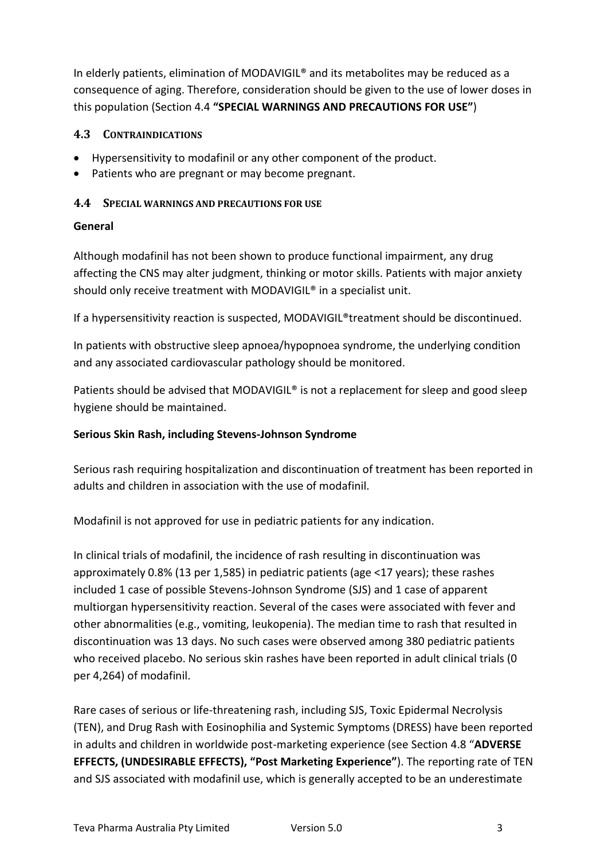In elderly patients, elimination of MODAVIGIL® and its metabolites may be reduced as a consequence of aging. Therefore, consideration should be given to the use of lower doses in this population (Section 4.4 **"SPECIAL WARNINGS AND PRECAUTIONS FOR USE"**)

# **4.3 CONTRAINDICATIONS**

- Hypersensitivity to modafinil or any other component of the product.
- Patients who are pregnant or may become pregnant.

# **4.4 SPECIAL WARNINGS AND PRECAUTIONS FOR USE**

# **General**

Although modafinil has not been shown to produce functional impairment, any drug affecting the CNS may alter judgment, thinking or motor skills. Patients with major anxiety should only receive treatment with MODAVIGIL® in a specialist unit.

If a hypersensitivity reaction is suspected, MODAVIGIL®treatment should be discontinued.

In patients with obstructive sleep apnoea/hypopnoea syndrome, the underlying condition and any associated cardiovascular pathology should be monitored.

Patients should be advised that MODAVIGIL® is not a replacement for sleep and good sleep hygiene should be maintained.

# **Serious Skin Rash, including Stevens-Johnson Syndrome**

Serious rash requiring hospitalization and discontinuation of treatment has been reported in adults and children in association with the use of modafinil.

Modafinil is not approved for use in pediatric patients for any indication.

In clinical trials of modafinil, the incidence of rash resulting in discontinuation was approximately 0.8% (13 per 1,585) in pediatric patients (age <17 years); these rashes included 1 case of possible Stevens-Johnson Syndrome (SJS) and 1 case of apparent multiorgan hypersensitivity reaction. Several of the cases were associated with fever and other abnormalities (e.g., vomiting, leukopenia). The median time to rash that resulted in discontinuation was 13 days. No such cases were observed among 380 pediatric patients who received placebo. No serious skin rashes have been reported in adult clinical trials (0 per 4,264) of modafinil.

Rare cases of serious or life-threatening rash, including SJS, Toxic Epidermal Necrolysis (TEN), and Drug Rash with Eosinophilia and Systemic Symptoms (DRESS) have been reported in adults and children in worldwide post-marketing experience (see Section 4.8 "**ADVERSE EFFECTS, (UNDESIRABLE EFFECTS), "Post Marketing Experience"**). The reporting rate of TEN and SJS associated with modafinil use, which is generally accepted to be an underestimate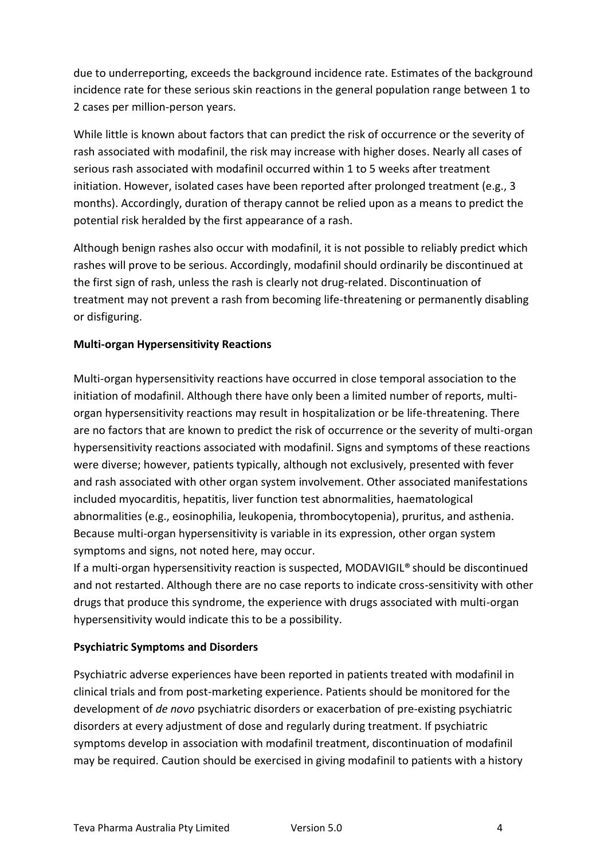due to underreporting, exceeds the background incidence rate. Estimates of the background incidence rate for these serious skin reactions in the general population range between 1 to 2 cases per million-person years.

While little is known about factors that can predict the risk of occurrence or the severity of rash associated with modafinil, the risk may increase with higher doses. Nearly all cases of serious rash associated with modafinil occurred within 1 to 5 weeks after treatment initiation. However, isolated cases have been reported after prolonged treatment (e.g., 3 months). Accordingly, duration of therapy cannot be relied upon as a means to predict the potential risk heralded by the first appearance of a rash.

Although benign rashes also occur with modafinil, it is not possible to reliably predict which rashes will prove to be serious. Accordingly, modafinil should ordinarily be discontinued at the first sign of rash, unless the rash is clearly not drug-related. Discontinuation of treatment may not prevent a rash from becoming life-threatening or permanently disabling or disfiguring.

# **Multi-organ Hypersensitivity Reactions**

Multi-organ hypersensitivity reactions have occurred in close temporal association to the initiation of modafinil. Although there have only been a limited number of reports, multiorgan hypersensitivity reactions may result in hospitalization or be life-threatening. There are no factors that are known to predict the risk of occurrence or the severity of multi-organ hypersensitivity reactions associated with modafinil. Signs and symptoms of these reactions were diverse; however, patients typically, although not exclusively, presented with fever and rash associated with other organ system involvement. Other associated manifestations included myocarditis, hepatitis, liver function test abnormalities, haematological abnormalities (e.g., eosinophilia, leukopenia, thrombocytopenia), pruritus, and asthenia. Because multi-organ hypersensitivity is variable in its expression, other organ system symptoms and signs, not noted here, may occur.

If a multi-organ hypersensitivity reaction is suspected, MODAVIGIL® should be discontinued and not restarted. Although there are no case reports to indicate cross-sensitivity with other drugs that produce this syndrome, the experience with drugs associated with multi-organ hypersensitivity would indicate this to be a possibility.

# **Psychiatric Symptoms and Disorders**

Psychiatric adverse experiences have been reported in patients treated with modafinil in clinical trials and from post-marketing experience. Patients should be monitored for the development of *de novo* psychiatric disorders or exacerbation of pre-existing psychiatric disorders at every adjustment of dose and regularly during treatment. If psychiatric symptoms develop in association with modafinil treatment, discontinuation of modafinil may be required. Caution should be exercised in giving modafinil to patients with a history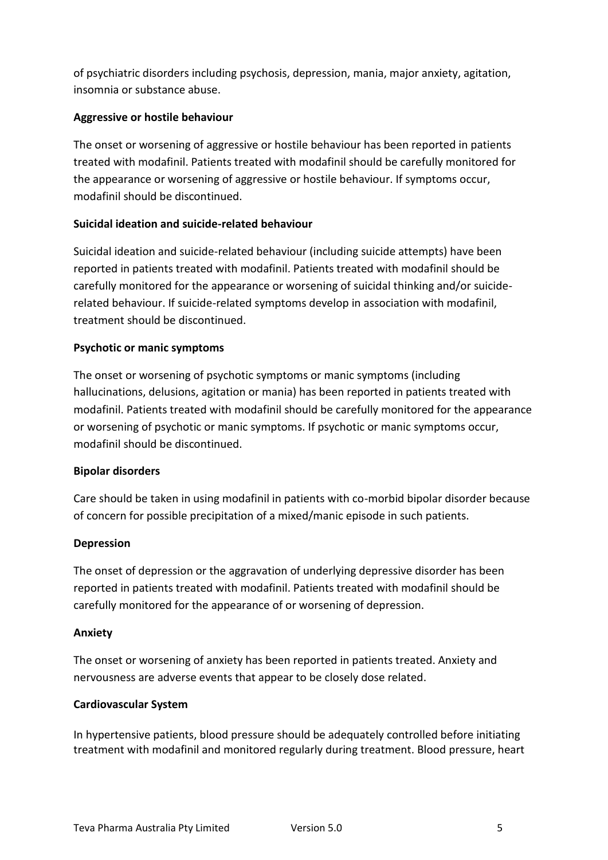of psychiatric disorders including psychosis, depression, mania, major anxiety, agitation, insomnia or substance abuse.

# **Aggressive or hostile behaviour**

The onset or worsening of aggressive or hostile behaviour has been reported in patients treated with modafinil. Patients treated with modafinil should be carefully monitored for the appearance or worsening of aggressive or hostile behaviour. If symptoms occur, modafinil should be discontinued.

# **Suicidal ideation and suicide-related behaviour**

Suicidal ideation and suicide-related behaviour (including suicide attempts) have been reported in patients treated with modafinil. Patients treated with modafinil should be carefully monitored for the appearance or worsening of suicidal thinking and/or suiciderelated behaviour. If suicide-related symptoms develop in association with modafinil, treatment should be discontinued.

# **Psychotic or manic symptoms**

The onset or worsening of psychotic symptoms or manic symptoms (including hallucinations, delusions, agitation or mania) has been reported in patients treated with modafinil. Patients treated with modafinil should be carefully monitored for the appearance or worsening of psychotic or manic symptoms. If psychotic or manic symptoms occur, modafinil should be discontinued.

# **Bipolar disorders**

Care should be taken in using modafinil in patients with co-morbid bipolar disorder because of concern for possible precipitation of a mixed/manic episode in such patients.

# **Depression**

The onset of depression or the aggravation of underlying depressive disorder has been reported in patients treated with modafinil. Patients treated with modafinil should be carefully monitored for the appearance of or worsening of depression.

# **Anxiety**

The onset or worsening of anxiety has been reported in patients treated. Anxiety and nervousness are adverse events that appear to be closely dose related.

# **Cardiovascular System**

In hypertensive patients, blood pressure should be adequately controlled before initiating treatment with modafinil and monitored regularly during treatment. Blood pressure, heart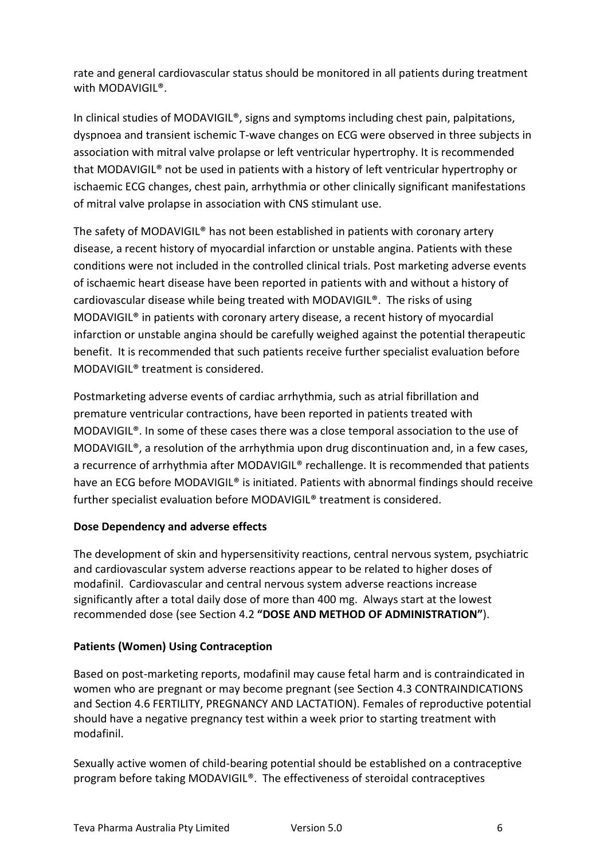rate and general cardiovascular status should be monitored in all patients during treatment with MODAVIGIL®.

In clinical studies of MODAVIGIL®, signs and symptoms including chest pain, palpitations, dyspnoea and transient ischemic T-wave changes on ECG were observed in three subjects in association with mitral valve prolapse or left ventricular hypertrophy. It is recommended that MODAVIGIL® not be used in patients with a history of left ventricular hypertrophy or ischaemic ECG changes, chest pain, arrhythmia or other clinically significant manifestations of mitral valve prolapse in association with CNS stimulant use.

The safety of MODAVIGIL® has not been established in patients with coronary artery disease, a recent history of myocardial infarction or unstable angina. Patients with these conditions were not included in the controlled clinical trials. Post marketing adverse events of ischaemic heart disease have been reported in patients with and without a history of cardiovascular disease while being treated with MODAVIGIL®. The risks of using MODAVIGIL® in patients with coronary artery disease, a recent history of myocardial infarction or unstable angina should be carefully weighed against the potential therapeutic benefit. It is recommended that such patients receive further specialist evaluation before MODAVIGIL® treatment is considered.

Postmarketing adverse events of cardiac arrhythmia, such as atrial fibrillation and premature ventricular contractions, have been reported in patients treated with MODAVIGIL®. In some of these cases there was a close temporal association to the use of MODAVIGIL®, a resolution of the arrhythmia upon drug discontinuation and, in a few cases, a recurrence of arrhythmia after MODAVIGIL<sup>®</sup> rechallenge. It is recommended that patients have an ECG before MODAVIGIL® is initiated. Patients with abnormal findings should receive further specialist evaluation before MODAVIGIL® treatment is considered.

# **Dose Dependency and adverse effects**

The development of skin and hypersensitivity reactions, central nervous system, psychiatric and cardiovascular system adverse reactions appear to be related to higher doses of modafinil. Cardiovascular and central nervous system adverse reactions increase significantly after a total daily dose of more than 400 mg. Always start at the lowest recommended dose (see Section 4.2 **"DOSE AND METHOD OF ADMINISTRATION"**).

# **Patients (Women) Using Contraception**

Based on post-marketing reports, modafinil may cause fetal harm and is contraindicated in women who are pregnant or may become pregnant (see Section 4.3 CONTRAINDICATIONS and Section 4.6 FERTILITY, PREGNANCY AND LACTATION). Females of reproductive potential should have a negative pregnancy test within a week prior to starting treatment with modafinil.

Sexually active women of child-bearing potential should be established on a contraceptive program before taking MODAVIGIL®. The effectiveness of steroidal contraceptives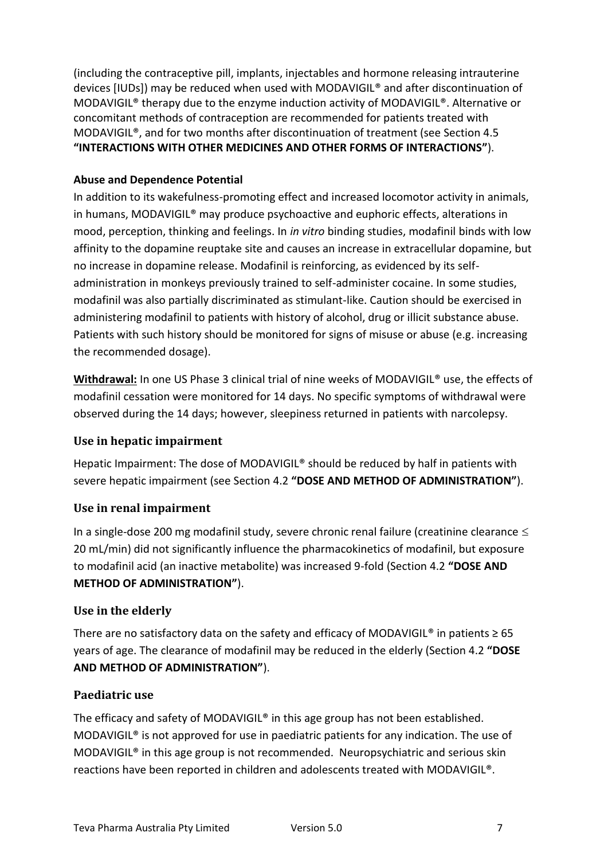(including the contraceptive pill, implants, injectables and hormone releasing intrauterine devices [IUDs]) may be reduced when used with MODAVIGIL® and after discontinuation of MODAVIGIL® therapy due to the enzyme induction activity of MODAVIGIL®. Alternative or concomitant methods of contraception are recommended for patients treated with MODAVIGIL®, and for two months after discontinuation of treatment (see Section 4.5 **"INTERACTIONS WITH OTHER MEDICINES AND OTHER FORMS OF INTERACTIONS"**).

# **Abuse and Dependence Potential**

In addition to its wakefulness-promoting effect and increased locomotor activity in animals, in humans, MODAVIGIL® may produce psychoactive and euphoric effects, alterations in mood, perception, thinking and feelings. In *in vitro* binding studies, modafinil binds with low affinity to the dopamine reuptake site and causes an increase in extracellular dopamine, but no increase in dopamine release. Modafinil is reinforcing, as evidenced by its selfadministration in monkeys previously trained to self-administer cocaine. In some studies, modafinil was also partially discriminated as stimulant-like. Caution should be exercised in administering modafinil to patients with history of alcohol, drug or illicit substance abuse. Patients with such history should be monitored for signs of misuse or abuse (e.g. increasing the recommended dosage).

Withdrawal: In one US Phase 3 clinical trial of nine weeks of MODAVIGIL<sup>®</sup> use, the effects of modafinil cessation were monitored for 14 days. No specific symptoms of withdrawal were observed during the 14 days; however, sleepiness returned in patients with narcolepsy.

# **Use in hepatic impairment**

Hepatic Impairment: The dose of MODAVIGIL® should be reduced by half in patients with severe hepatic impairment (see Section 4.2 **"DOSE AND METHOD OF ADMINISTRATION"**).

# **Use in renal impairment**

In a single-dose 200 mg modafinil study, severe chronic renal failure (creatinine clearance  $\leq$ 20 mL/min) did not significantly influence the pharmacokinetics of modafinil, but exposure to modafinil acid (an inactive metabolite) was increased 9-fold (Section 4.2 **"DOSE AND METHOD OF ADMINISTRATION"**).

# **Use in the elderly**

There are no satisfactory data on the safety and efficacy of MODAVIGIL<sup>®</sup> in patients  $\geq 65$ years of age. The clearance of modafinil may be reduced in the elderly (Section 4.2 **"DOSE AND METHOD OF ADMINISTRATION"**).

# **Paediatric use**

The efficacy and safety of MODAVIGIL<sup>®</sup> in this age group has not been established. MODAVIGIL® is not approved for use in paediatric patients for any indication. The use of MODAVIGIL® in this age group is not recommended. Neuropsychiatric and serious skin reactions have been reported in children and adolescents treated with MODAVIGIL®.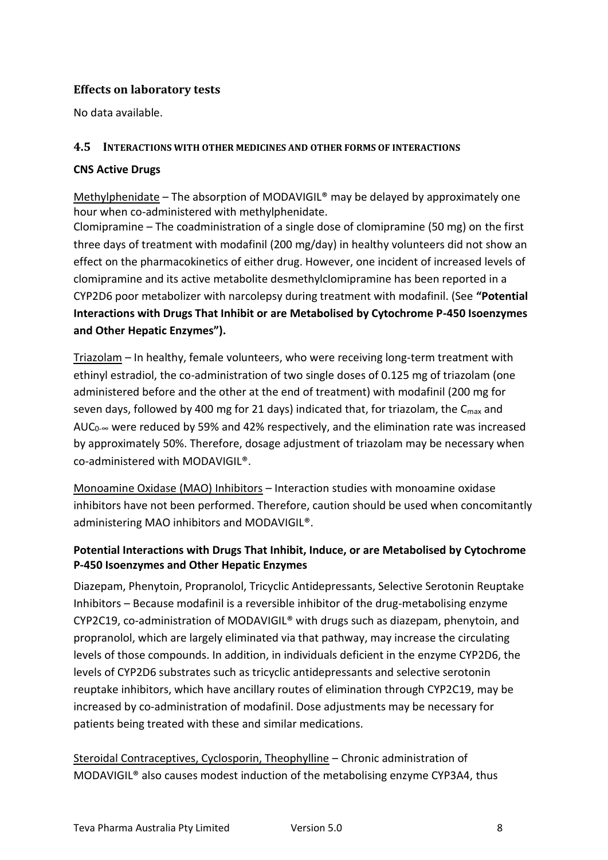# **Effects on laboratory tests**

No data available.

### **4.5 INTERACTIONS WITH OTHER MEDICINES AND OTHER FORMS OF INTERACTIONS**

#### **CNS Active Drugs**

Methylphenidate – The absorption of MODAVIGIL® may be delayed by approximately one hour when co-administered with methylphenidate.

Clomipramine – The coadministration of a single dose of clomipramine (50 mg) on the first three days of treatment with modafinil (200 mg/day) in healthy volunteers did not show an effect on the pharmacokinetics of either drug. However, one incident of increased levels of clomipramine and its active metabolite desmethylclomipramine has been reported in a CYP2D6 poor metabolizer with narcolepsy during treatment with modafinil. (See **"Potential Interactions with Drugs That Inhibit or are Metabolised by Cytochrome P-450 Isoenzymes and Other Hepatic Enzymes").**

Triazolam – In healthy, female volunteers, who were receiving long-term treatment with ethinyl estradiol, the co-administration of two single doses of 0.125 mg of triazolam (one administered before and the other at the end of treatment) with modafinil (200 mg for seven days, followed by 400 mg for 21 days) indicated that, for triazolam, the  $C_{\text{max}}$  and AUC $_0$ - $\infty$  were reduced by 59% and 42% respectively, and the elimination rate was increased by approximately 50%. Therefore, dosage adjustment of triazolam may be necessary when co-administered with MODAVIGIL®.

Monoamine Oxidase (MAO) Inhibitors – Interaction studies with monoamine oxidase inhibitors have not been performed. Therefore, caution should be used when concomitantly administering MAO inhibitors and MODAVIGIL®.

# **Potential Interactions with Drugs That Inhibit, Induce, or are Metabolised by Cytochrome P-450 Isoenzymes and Other Hepatic Enzymes**

Diazepam, Phenytoin, Propranolol, Tricyclic Antidepressants, Selective Serotonin Reuptake Inhibitors – Because modafinil is a reversible inhibitor of the drug-metabolising enzyme CYP2C19, co-administration of MODAVIGIL® with drugs such as diazepam, phenytoin, and propranolol, which are largely eliminated via that pathway, may increase the circulating levels of those compounds. In addition, in individuals deficient in the enzyme CYP2D6, the levels of CYP2D6 substrates such as tricyclic antidepressants and selective serotonin reuptake inhibitors, which have ancillary routes of elimination through CYP2C19, may be increased by co-administration of modafinil. Dose adjustments may be necessary for patients being treated with these and similar medications.

Steroidal Contraceptives, Cyclosporin, Theophylline – Chronic administration of MODAVIGIL® also causes modest induction of the metabolising enzyme CYP3A4, thus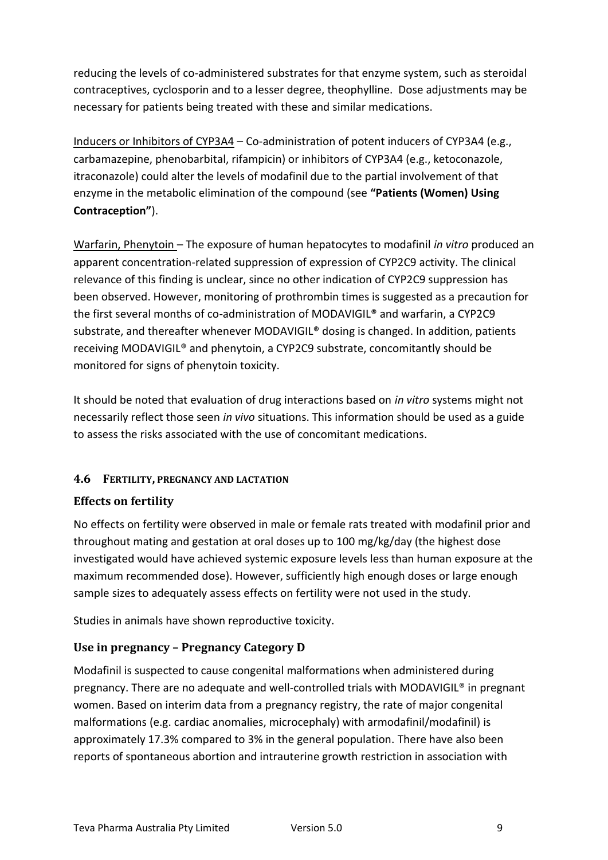reducing the levels of co-administered substrates for that enzyme system, such as steroidal contraceptives, cyclosporin and to a lesser degree, theophylline. Dose adjustments may be necessary for patients being treated with these and similar medications.

Inducers or Inhibitors of CYP3A4 – Co-administration of potent inducers of CYP3A4 (e.g., carbamazepine, phenobarbital, rifampicin) or inhibitors of CYP3A4 (e.g., ketoconazole, itraconazole) could alter the levels of modafinil due to the partial involvement of that enzyme in the metabolic elimination of the compound (see **"Patients (Women) Using Contraception"**).

Warfarin, Phenytoin – The exposure of human hepatocytes to modafinil *in vitro* produced an apparent concentration-related suppression of expression of CYP2C9 activity. The clinical relevance of this finding is unclear, since no other indication of CYP2C9 suppression has been observed. However, monitoring of prothrombin times is suggested as a precaution for the first several months of co-administration of MODAVIGIL® and warfarin, a CYP2C9 substrate, and thereafter whenever MODAVIGIL® dosing is changed. In addition, patients receiving MODAVIGIL® and phenytoin, a CYP2C9 substrate, concomitantly should be monitored for signs of phenytoin toxicity.

It should be noted that evaluation of drug interactions based on *in vitro* systems might not necessarily reflect those seen *in vivo* situations. This information should be used as a guide to assess the risks associated with the use of concomitant medications.

# **4.6 FERTILITY, PREGNANCY AND LACTATION**

# **Effects on fertility**

No effects on fertility were observed in male or female rats treated with modafinil prior and throughout mating and gestation at oral doses up to 100 mg/kg/day (the highest dose investigated would have achieved systemic exposure levels less than human exposure at the maximum recommended dose). However, sufficiently high enough doses or large enough sample sizes to adequately assess effects on fertility were not used in the study.

Studies in animals have shown reproductive toxicity.

# **Use in pregnancy – Pregnancy Category D**

Modafinil is suspected to cause congenital malformations when administered during pregnancy. There are no adequate and well-controlled trials with MODAVIGIL® in pregnant women. Based on interim data from a pregnancy registry, the rate of major congenital malformations (e.g. cardiac anomalies, microcephaly) with armodafinil/modafinil) is approximately 17.3% compared to 3% in the general population. There have also been reports of spontaneous abortion and intrauterine growth restriction in association with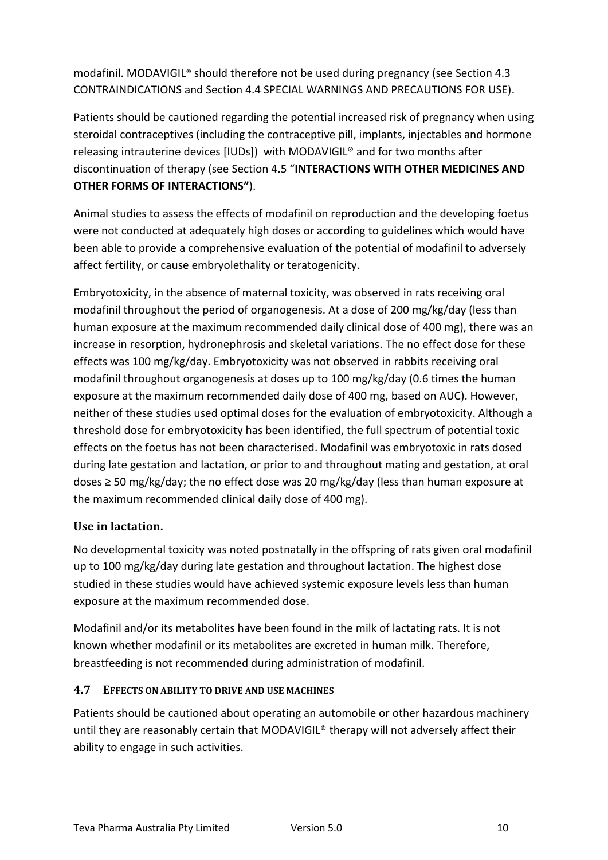modafinil. MODAVIGIL® should therefore not be used during pregnancy (see Section 4.3 CONTRAINDICATIONS and Section 4.4 SPECIAL WARNINGS AND PRECAUTIONS FOR USE).

Patients should be cautioned regarding the potential increased risk of pregnancy when using steroidal contraceptives (including the contraceptive pill, implants, injectables and hormone releasing intrauterine devices [IUDs]) with MODAVIGIL® and for two months after discontinuation of therapy (see Section 4.5 "**INTERACTIONS WITH OTHER MEDICINES AND OTHER FORMS OF INTERACTIONS"**).

Animal studies to assess the effects of modafinil on reproduction and the developing foetus were not conducted at adequately high doses or according to guidelines which would have been able to provide a comprehensive evaluation of the potential of modafinil to adversely affect fertility, or cause embryolethality or teratogenicity.

Embryotoxicity, in the absence of maternal toxicity, was observed in rats receiving oral modafinil throughout the period of organogenesis. At a dose of 200 mg/kg/day (less than human exposure at the maximum recommended daily clinical dose of 400 mg), there was an increase in resorption, hydronephrosis and skeletal variations. The no effect dose for these effects was 100 mg/kg/day. Embryotoxicity was not observed in rabbits receiving oral modafinil throughout organogenesis at doses up to 100 mg/kg/day (0.6 times the human exposure at the maximum recommended daily dose of 400 mg, based on AUC). However, neither of these studies used optimal doses for the evaluation of embryotoxicity. Although a threshold dose for embryotoxicity has been identified, the full spectrum of potential toxic effects on the foetus has not been characterised. Modafinil was embryotoxic in rats dosed during late gestation and lactation, or prior to and throughout mating and gestation, at oral doses ≥ 50 mg/kg/day; the no effect dose was 20 mg/kg/day (less than human exposure at the maximum recommended clinical daily dose of 400 mg).

# **Use in lactation.**

No developmental toxicity was noted postnatally in the offspring of rats given oral modafinil up to 100 mg/kg/day during late gestation and throughout lactation. The highest dose studied in these studies would have achieved systemic exposure levels less than human exposure at the maximum recommended dose.

Modafinil and/or its metabolites have been found in the milk of lactating rats. It is not known whether modafinil or its metabolites are excreted in human milk. Therefore, breastfeeding is not recommended during administration of modafinil.

# **4.7 EFFECTS ON ABILITY TO DRIVE AND USE MACHINES**

Patients should be cautioned about operating an automobile or other hazardous machinery until they are reasonably certain that MODAVIGIL® therapy will not adversely affect their ability to engage in such activities.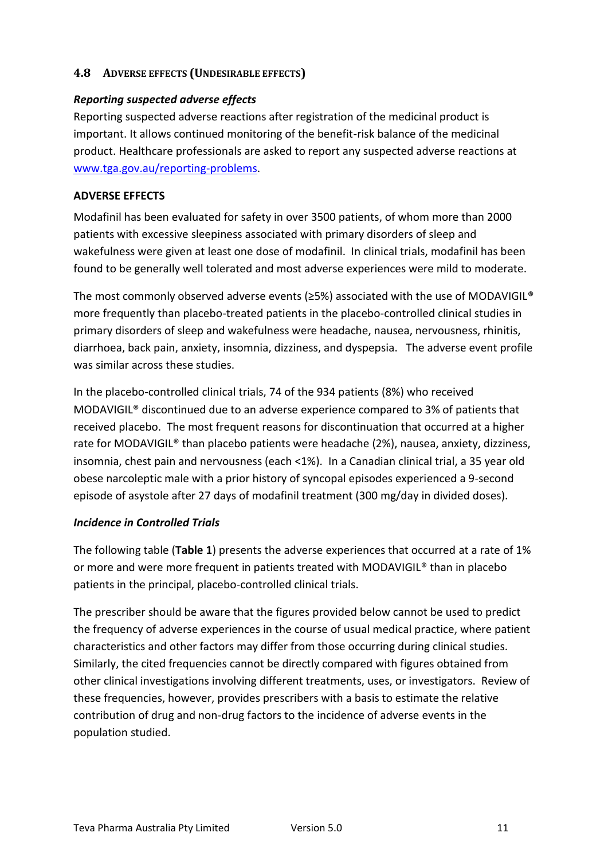# **4.8 ADVERSE EFFECTS (UNDESIRABLE EFFECTS)**

#### *Reporting suspected adverse effects*

Reporting suspected adverse reactions after registration of the medicinal product is important. It allows continued monitoring of the benefit-risk balance of the medicinal product. Healthcare professionals are asked to report any suspected adverse reactions at [www.tga.gov.au/reporting-problems.](http://www.tga.gov.au/reporting-problems)

#### **ADVERSE EFFECTS**

Modafinil has been evaluated for safety in over 3500 patients, of whom more than 2000 patients with excessive sleepiness associated with primary disorders of sleep and wakefulness were given at least one dose of modafinil. In clinical trials, modafinil has been found to be generally well tolerated and most adverse experiences were mild to moderate.

The most commonly observed adverse events ( $\geq$ 5%) associated with the use of MODAVIGIL® more frequently than placebo-treated patients in the placebo-controlled clinical studies in primary disorders of sleep and wakefulness were headache, nausea, nervousness, rhinitis, diarrhoea, back pain, anxiety, insomnia, dizziness, and dyspepsia. The adverse event profile was similar across these studies.

In the placebo-controlled clinical trials, 74 of the 934 patients (8%) who received MODAVIGIL® discontinued due to an adverse experience compared to 3% of patients that received placebo. The most frequent reasons for discontinuation that occurred at a higher rate for MODAVIGIL® than placebo patients were headache (2%), nausea, anxiety, dizziness, insomnia, chest pain and nervousness (each <1%). In a Canadian clinical trial, a 35 year old obese narcoleptic male with a prior history of syncopal episodes experienced a 9-second episode of asystole after 27 days of modafinil treatment (300 mg/day in divided doses).

#### *Incidence in Controlled Trials*

The following table (**Table 1**) presents the adverse experiences that occurred at a rate of 1% or more and were more frequent in patients treated with MODAVIGIL® than in placebo patients in the principal, placebo-controlled clinical trials.

The prescriber should be aware that the figures provided below cannot be used to predict the frequency of adverse experiences in the course of usual medical practice, where patient characteristics and other factors may differ from those occurring during clinical studies. Similarly, the cited frequencies cannot be directly compared with figures obtained from other clinical investigations involving different treatments, uses, or investigators. Review of these frequencies, however, provides prescribers with a basis to estimate the relative contribution of drug and non-drug factors to the incidence of adverse events in the population studied.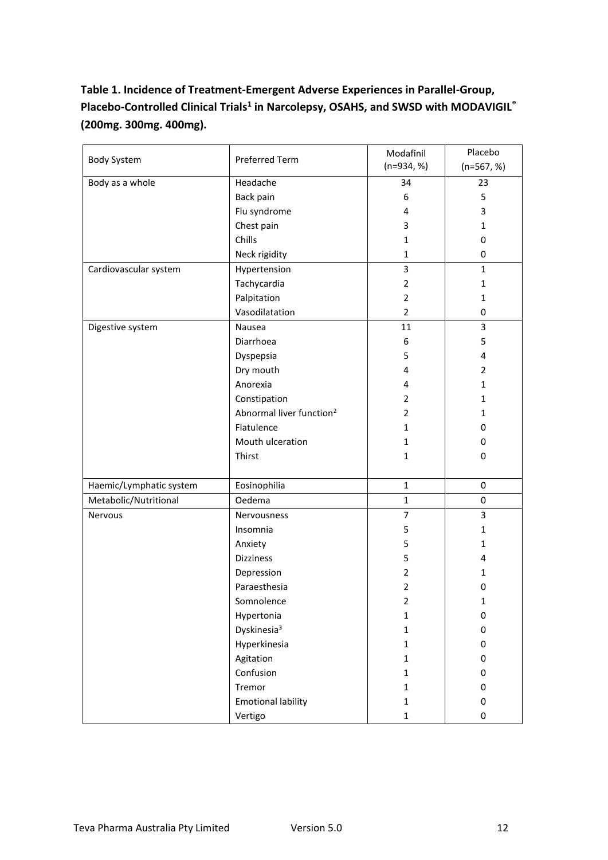# **Table 1. Incidence of Treatment-Emergent Adverse Experiences in Parallel-Group, Placebo-Controlled Clinical Trials<sup>1</sup> in Narcolepsy, OSAHS, and SWSD with MODAVIGIL® (200mg. 300mg. 400mg).**

| <b>Body System</b>      | Preferred Term                       | Modafinil<br>$(n=934, %)$ | Placebo<br>$(n=567, %)$ |
|-------------------------|--------------------------------------|---------------------------|-------------------------|
| Body as a whole         | Headache                             | 34                        | 23                      |
|                         | Back pain                            | 6                         | 5                       |
|                         | Flu syndrome                         | 4                         | 3                       |
|                         | Chest pain                           | 3                         | $\mathbf{1}$            |
|                         | Chills                               | 1                         | 0                       |
|                         | Neck rigidity                        | $\mathbf{1}$              | 0                       |
| Cardiovascular system   | Hypertension                         | 3                         | $\mathbf{1}$            |
|                         | Tachycardia                          | $\overline{2}$            | $\mathbf{1}$            |
|                         | Palpitation                          | $\overline{2}$            | 1                       |
|                         | Vasodilatation                       | $\overline{2}$            | 0                       |
| Digestive system        | Nausea                               | 11                        | 3                       |
|                         | Diarrhoea                            | 6                         | 5                       |
|                         | Dyspepsia                            | 5                         | 4                       |
|                         | Dry mouth                            | 4                         | $\overline{2}$          |
|                         | Anorexia                             | 4                         | $\mathbf{1}$            |
|                         | Constipation                         | $\overline{2}$            | 1                       |
|                         | Abnormal liver function <sup>2</sup> | 2                         | 1                       |
|                         | Flatulence                           | $\mathbf{1}$              | 0                       |
|                         | Mouth ulceration                     | 1                         | 0                       |
|                         | Thirst                               | 1                         | 0                       |
|                         |                                      |                           |                         |
| Haemic/Lymphatic system | Eosinophilia                         | $\mathbf{1}$              | 0                       |
| Metabolic/Nutritional   | Oedema                               | $\mathbf{1}$              | 0                       |
| Nervous                 | Nervousness                          | $\overline{7}$            | 3                       |
|                         | Insomnia                             | 5                         | 1                       |
|                         | Anxiety                              | 5                         | 1                       |
|                         | <b>Dizziness</b>                     | 5                         | 4                       |
|                         | Depression                           | $\overline{2}$            | 1                       |
|                         | Paraesthesia                         | 2                         | 0                       |
|                         | Somnolence                           | 2                         | 1                       |
|                         | Hypertonia                           | $\mathbf 1$               | $\pmb{0}$               |
|                         | Dyskinesia <sup>3</sup>              | $\mathbf{1}$              | $\pmb{0}$               |
|                         | Hyperkinesia                         | $\mathbf{1}$              | 0                       |
|                         | Agitation                            | 1                         | 0                       |
|                         | Confusion                            | $\mathbf{1}$              | 0                       |
|                         | Tremor                               | $\mathbf{1}$              | $\pmb{0}$               |
|                         | <b>Emotional lability</b>            | $\mathbf{1}$              | 0                       |
|                         | Vertigo                              | $\mathbf{1}$              | 0                       |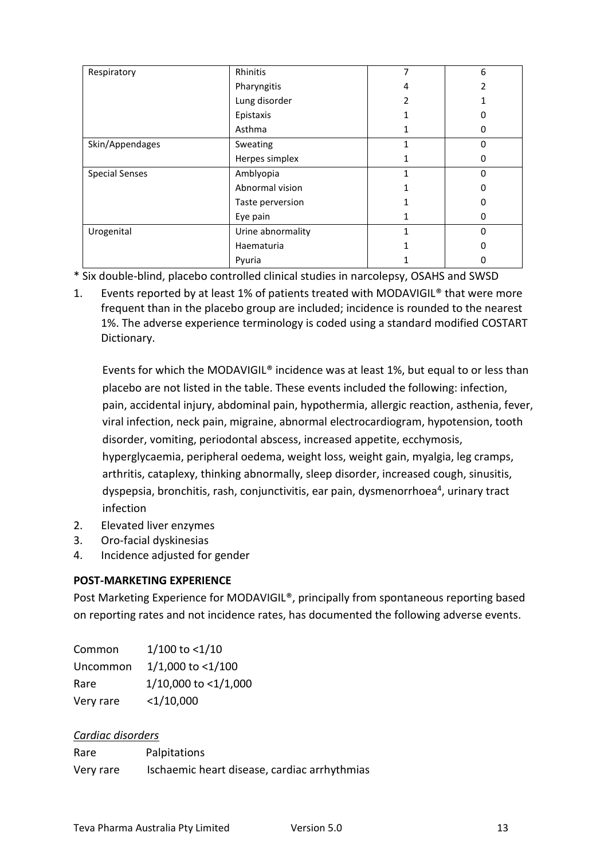| Respiratory           | Rhinitis          | 7 | 6        |
|-----------------------|-------------------|---|----------|
|                       | Pharyngitis       | 4 |          |
|                       | Lung disorder     |   |          |
|                       | Epistaxis         |   |          |
|                       | Asthma            |   | 0        |
| Skin/Appendages       | Sweating          |   | O        |
|                       | Herpes simplex    |   | ŋ        |
| <b>Special Senses</b> | Amblyopia         |   | $\Omega$ |
|                       | Abnormal vision   |   |          |
|                       | Taste perversion  |   |          |
|                       | Eye pain          |   | 0        |
| Urogenital            | Urine abnormality |   | U        |
|                       | Haematuria        |   |          |
|                       | Pyuria            |   |          |

\* Six double-blind, placebo controlled clinical studies in narcolepsy, OSAHS and SWSD

1. Events reported by at least 1% of patients treated with MODAVIGIL® that were more frequent than in the placebo group are included; incidence is rounded to the nearest 1%. The adverse experience terminology is coded using a standard modified COSTART Dictionary.

Events for which the MODAVIGIL® incidence was at least 1%, but equal to or less than placebo are not listed in the table. These events included the following: infection, pain, accidental injury, abdominal pain, hypothermia, allergic reaction, asthenia, fever, viral infection, neck pain, migraine, abnormal electrocardiogram, hypotension, tooth disorder, vomiting, periodontal abscess, increased appetite, ecchymosis, hyperglycaemia, peripheral oedema, weight loss, weight gain, myalgia, leg cramps, arthritis, cataplexy, thinking abnormally, sleep disorder, increased cough, sinusitis, dyspepsia, bronchitis, rash, conjunctivitis, ear pain, dysmenorrhoea<sup>4</sup>, urinary tract infection

- 2. Elevated liver enzymes
- 3. Oro-facial dyskinesias
- 4. Incidence adjusted for gender

# **POST-MARKETING EXPERIENCE**

Post Marketing Experience for MODAVIGIL®, principally from spontaneous reporting based on reporting rates and not incidence rates, has documented the following adverse events.

| Common    | $1/100$ to <1/10     |
|-----------|----------------------|
| Uncommon  | 1/1,000 to <1/100    |
| Rare      | 1/10,000 to <1/1,000 |
| Very rare | $<$ 1/10,000         |

# *Cardiac disorders*

| Rare      | Palpitations                                 |
|-----------|----------------------------------------------|
| Very rare | Ischaemic heart disease, cardiac arrhythmias |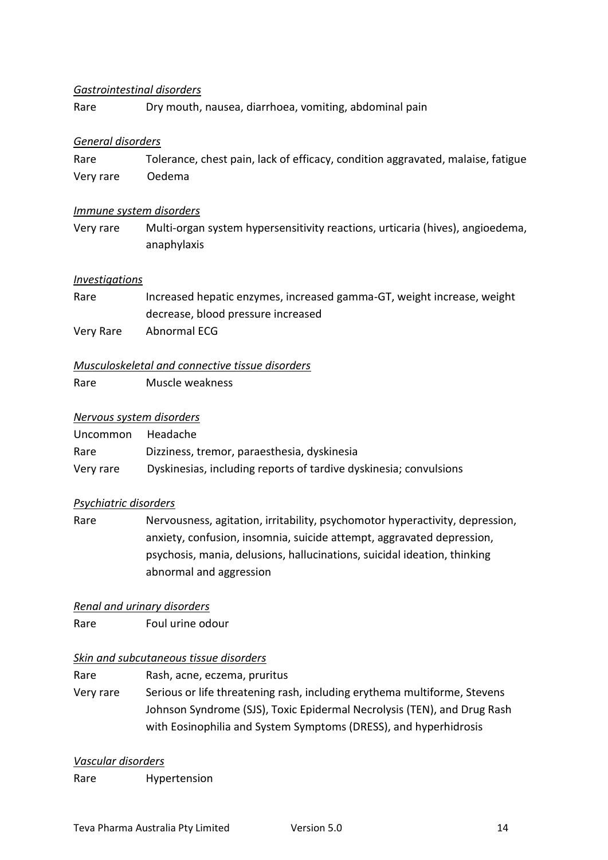#### *Gastrointestinal disorders*

Rare Dry mouth, nausea, diarrhoea, vomiting, abdominal pain

#### *General disorders*

Rare Tolerance, chest pain, lack of efficacy, condition aggravated, malaise, fatigue Very rare Oedema

#### *Immune system disorders*

Very rare Multi-organ system hypersensitivity reactions, urticaria (hives), angioedema, anaphylaxis

#### *Investigations*

| Rare      | Increased hepatic enzymes, increased gamma-GT, weight increase, weight |
|-----------|------------------------------------------------------------------------|
|           | decrease, blood pressure increased                                     |
| Verv Rare | Abnormal ECG                                                           |

#### *Musculoskeletal and connective tissue disorders*

Rare Muscle weakness

#### *Nervous system disorders*

| Uncommon  | Headache                                                          |
|-----------|-------------------------------------------------------------------|
| Rare      | Dizziness, tremor, paraesthesia, dyskinesia                       |
| Very rare | Dyskinesias, including reports of tardive dyskinesia; convulsions |

#### *Psychiatric disorders*

Rare Nervousness, agitation, irritability, psychomotor hyperactivity, depression, anxiety, confusion, insomnia, suicide attempt, aggravated depression, psychosis, mania, delusions, hallucinations, suicidal ideation, thinking abnormal and aggression

#### *Renal and urinary disorders*

Rare Foul urine odour

# *Skin and subcutaneous tissue disorders*

Rare Rash, acne, eczema, pruritus Very rare Serious or life threatening rash, including erythema multiforme, Stevens Johnson Syndrome (SJS), Toxic Epidermal Necrolysis (TEN), and Drug Rash with Eosinophilia and System Symptoms (DRESS), and hyperhidrosis

#### *Vascular disorders*

Rare Hypertension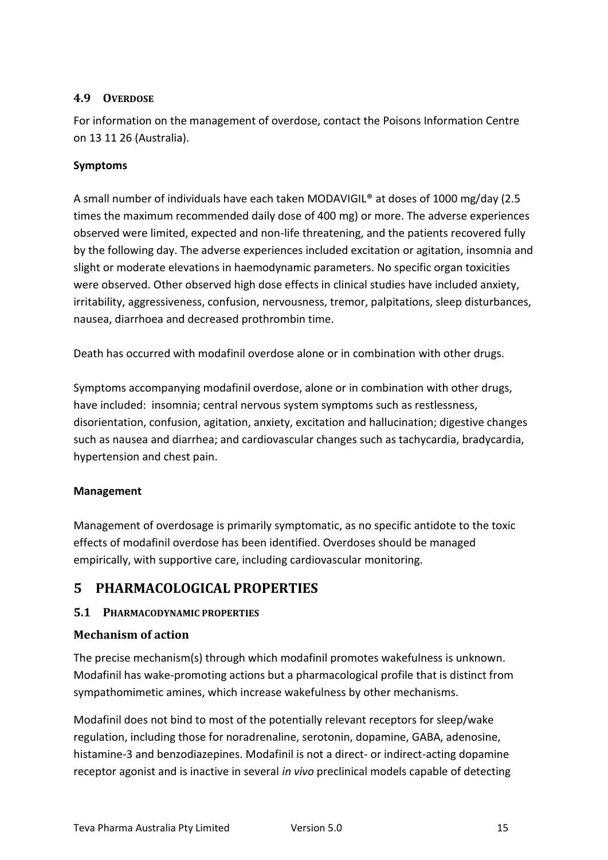# **4.9 OVERDOSE**

For information on the management of overdose, contact the Poisons Information Centre on 13 11 26 (Australia).

# **Symptoms**

A small number of individuals have each taken MODAVIGIL® at doses of 1000 mg/day (2.5 times the maximum recommended daily dose of 400 mg) or more. The adverse experiences observed were limited, expected and non-life threatening, and the patients recovered fully by the following day. The adverse experiences included excitation or agitation, insomnia and slight or moderate elevations in haemodynamic parameters. No specific organ toxicities were observed. Other observed high dose effects in clinical studies have included anxiety, irritability, aggressiveness, confusion, nervousness, tremor, palpitations, sleep disturbances, nausea, diarrhoea and decreased prothrombin time.

Death has occurred with modafinil overdose alone or in combination with other drugs.

Symptoms accompanying modafinil overdose, alone or in combination with other drugs, have included: insomnia; central nervous system symptoms such as restlessness, disorientation, confusion, agitation, anxiety, excitation and hallucination; digestive changes such as nausea and diarrhea; and cardiovascular changes such as tachycardia, bradycardia, hypertension and chest pain.

# **Management**

Management of overdosage is primarily symptomatic, as no specific antidote to the toxic effects of modafinil overdose has been identified. Overdoses should be managed empirically, with supportive care, including cardiovascular monitoring.

# **5 PHARMACOLOGICAL PROPERTIES**

# **5.1 PHARMACODYNAMIC PROPERTIES**

# **Mechanism of action**

The precise mechanism(s) through which modafinil promotes wakefulness is unknown. Modafinil has wake-promoting actions but a pharmacological profile that is distinct from sympathomimetic amines, which increase wakefulness by other mechanisms.

Modafinil does not bind to most of the potentially relevant receptors for sleep/wake regulation, including those for noradrenaline, serotonin, dopamine, GABA, adenosine, histamine-3 and benzodiazepines. Modafinil is not a direct- or indirect-acting dopamine receptor agonist and is inactive in several *in vivo* preclinical models capable of detecting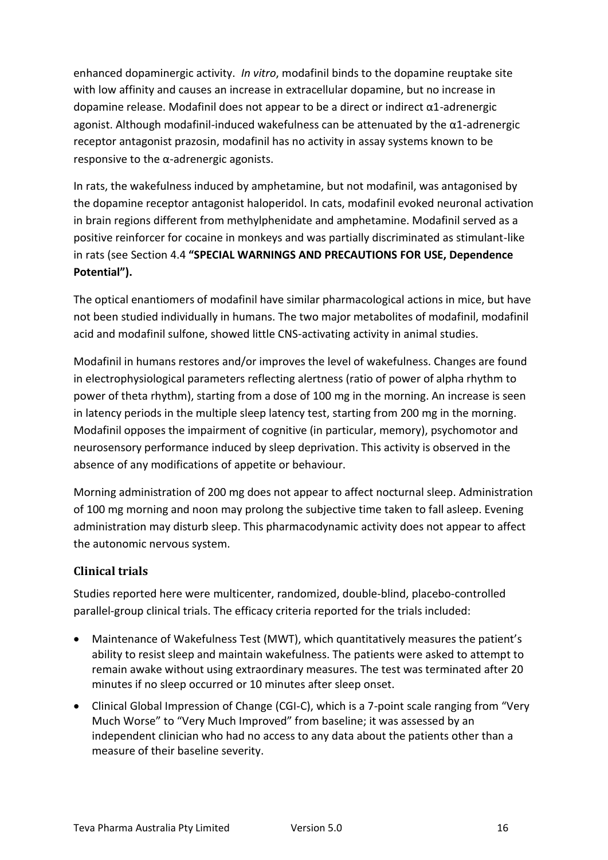enhanced dopaminergic activity. *In vitro*, modafinil binds to the dopamine reuptake site with low affinity and causes an increase in extracellular dopamine, but no increase in dopamine release. Modafinil does not appear to be a direct or indirect α1-adrenergic agonist. Although modafinil-induced wakefulness can be attenuated by the α1-adrenergic receptor antagonist prazosin, modafinil has no activity in assay systems known to be responsive to the  $\alpha$ -adrenergic agonists.

In rats, the wakefulness induced by amphetamine, but not modafinil, was antagonised by the dopamine receptor antagonist haloperidol. In cats, modafinil evoked neuronal activation in brain regions different from methylphenidate and amphetamine. Modafinil served as a positive reinforcer for cocaine in monkeys and was partially discriminated as stimulant-like in rats (see Section 4.4 **"SPECIAL WARNINGS AND PRECAUTIONS FOR USE, Dependence Potential").**

The optical enantiomers of modafinil have similar pharmacological actions in mice, but have not been studied individually in humans. The two major metabolites of modafinil, modafinil acid and modafinil sulfone, showed little CNS-activating activity in animal studies.

Modafinil in humans restores and/or improves the level of wakefulness. Changes are found in electrophysiological parameters reflecting alertness (ratio of power of alpha rhythm to power of theta rhythm), starting from a dose of 100 mg in the morning. An increase is seen in latency periods in the multiple sleep latency test, starting from 200 mg in the morning. Modafinil opposes the impairment of cognitive (in particular, memory), psychomotor and neurosensory performance induced by sleep deprivation. This activity is observed in the absence of any modifications of appetite or behaviour.

Morning administration of 200 mg does not appear to affect nocturnal sleep. Administration of 100 mg morning and noon may prolong the subjective time taken to fall asleep. Evening administration may disturb sleep. This pharmacodynamic activity does not appear to affect the autonomic nervous system.

# **Clinical trials**

Studies reported here were multicenter, randomized, double-blind, placebo-controlled parallel-group clinical trials. The efficacy criteria reported for the trials included:

- Maintenance of Wakefulness Test (MWT), which quantitatively measures the patient's ability to resist sleep and maintain wakefulness. The patients were asked to attempt to remain awake without using extraordinary measures. The test was terminated after 20 minutes if no sleep occurred or 10 minutes after sleep onset.
- Clinical Global Impression of Change (CGI-C), which is a 7-point scale ranging from "Very Much Worse" to "Very Much Improved" from baseline; it was assessed by an independent clinician who had no access to any data about the patients other than a measure of their baseline severity.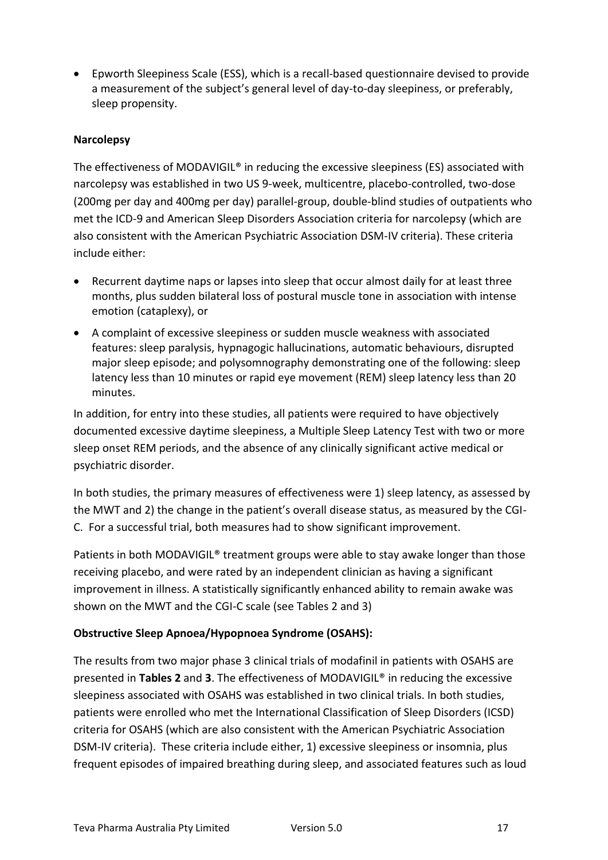• Epworth Sleepiness Scale (ESS), which is a recall-based questionnaire devised to provide a measurement of the subject's general level of day-to-day sleepiness, or preferably, sleep propensity.

### **Narcolepsy**

The effectiveness of MODAVIGIL® in reducing the excessive sleepiness (ES) associated with narcolepsy was established in two US 9-week, multicentre, placebo-controlled, two-dose (200mg per day and 400mg per day) parallel-group, double-blind studies of outpatients who met the ICD-9 and American Sleep Disorders Association criteria for narcolepsy (which are also consistent with the American Psychiatric Association DSM-IV criteria). These criteria include either:

- Recurrent daytime naps or lapses into sleep that occur almost daily for at least three months, plus sudden bilateral loss of postural muscle tone in association with intense emotion (cataplexy), or
- A complaint of excessive sleepiness or sudden muscle weakness with associated features: sleep paralysis, hypnagogic hallucinations, automatic behaviours, disrupted major sleep episode; and polysomnography demonstrating one of the following: sleep latency less than 10 minutes or rapid eye movement (REM) sleep latency less than 20 minutes.

In addition, for entry into these studies, all patients were required to have objectively documented excessive daytime sleepiness, a Multiple Sleep Latency Test with two or more sleep onset REM periods, and the absence of any clinically significant active medical or psychiatric disorder.

In both studies, the primary measures of effectiveness were 1) sleep latency, as assessed by the MWT and 2) the change in the patient's overall disease status, as measured by the CGI-C. For a successful trial, both measures had to show significant improvement.

Patients in both MODAVIGIL® treatment groups were able to stay awake longer than those receiving placebo, and were rated by an independent clinician as having a significant improvement in illness. A statistically significantly enhanced ability to remain awake was shown on the MWT and the CGI-C scale (see Tables 2 and 3)

# **Obstructive Sleep Apnoea/Hypopnoea Syndrome (OSAHS):**

The results from two major phase 3 clinical trials of modafinil in patients with OSAHS are presented in **Tables 2** and **3**. The effectiveness of MODAVIGIL® in reducing the excessive sleepiness associated with OSAHS was established in two clinical trials. In both studies, patients were enrolled who met the International Classification of Sleep Disorders (ICSD) criteria for OSAHS (which are also consistent with the American Psychiatric Association DSM-IV criteria). These criteria include either, 1) excessive sleepiness or insomnia, plus frequent episodes of impaired breathing during sleep, and associated features such as loud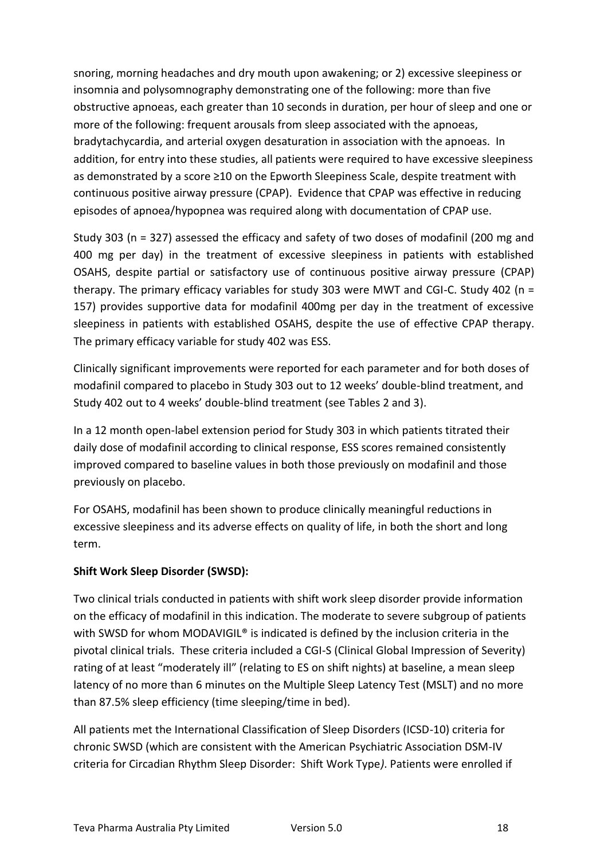snoring, morning headaches and dry mouth upon awakening; or 2) excessive sleepiness or insomnia and polysomnography demonstrating one of the following: more than five obstructive apnoeas, each greater than 10 seconds in duration, per hour of sleep and one or more of the following: frequent arousals from sleep associated with the apnoeas, bradytachycardia, and arterial oxygen desaturation in association with the apnoeas. In addition, for entry into these studies, all patients were required to have excessive sleepiness as demonstrated by a score ≥10 on the Epworth Sleepiness Scale, despite treatment with continuous positive airway pressure (CPAP). Evidence that CPAP was effective in reducing episodes of apnoea/hypopnea was required along with documentation of CPAP use.

Study 303 (n = 327) assessed the efficacy and safety of two doses of modafinil (200 mg and 400 mg per day) in the treatment of excessive sleepiness in patients with established OSAHS, despite partial or satisfactory use of continuous positive airway pressure (CPAP) therapy. The primary efficacy variables for study 303 were MWT and CGI-C. Study 402 (n = 157) provides supportive data for modafinil 400mg per day in the treatment of excessive sleepiness in patients with established OSAHS, despite the use of effective CPAP therapy. The primary efficacy variable for study 402 was ESS.

Clinically significant improvements were reported for each parameter and for both doses of modafinil compared to placebo in Study 303 out to 12 weeks' double-blind treatment, and Study 402 out to 4 weeks' double-blind treatment (see Tables 2 and 3).

In a 12 month open-label extension period for Study 303 in which patients titrated their daily dose of modafinil according to clinical response, ESS scores remained consistently improved compared to baseline values in both those previously on modafinil and those previously on placebo.

For OSAHS, modafinil has been shown to produce clinically meaningful reductions in excessive sleepiness and its adverse effects on quality of life, in both the short and long term.

# **Shift Work Sleep Disorder (SWSD):**

Two clinical trials conducted in patients with shift work sleep disorder provide information on the efficacy of modafinil in this indication. The moderate to severe subgroup of patients with SWSD for whom MODAVIGIL<sup>®</sup> is indicated is defined by the inclusion criteria in the pivotal clinical trials. These criteria included a CGI-S (Clinical Global Impression of Severity) rating of at least "moderately ill" (relating to ES on shift nights) at baseline, a mean sleep latency of no more than 6 minutes on the Multiple Sleep Latency Test (MSLT) and no more than 87.5% sleep efficiency (time sleeping/time in bed).

All patients met the International Classification of Sleep Disorders (ICSD-10) criteria for chronic SWSD (which are consistent with the American Psychiatric Association DSM-IV criteria for Circadian Rhythm Sleep Disorder: Shift Work Type*)*. Patients were enrolled if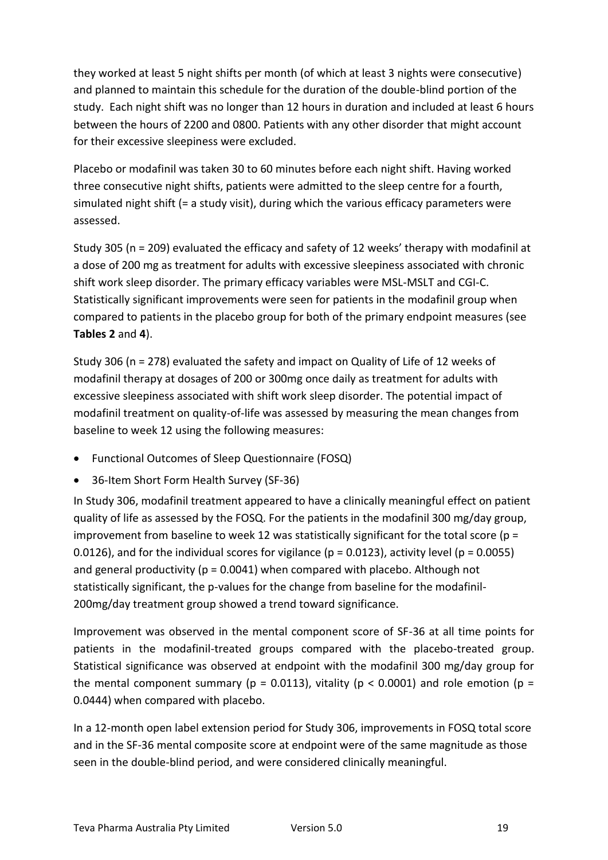they worked at least 5 night shifts per month (of which at least 3 nights were consecutive) and planned to maintain this schedule for the duration of the double-blind portion of the study. Each night shift was no longer than 12 hours in duration and included at least 6 hours between the hours of 2200 and 0800. Patients with any other disorder that might account for their excessive sleepiness were excluded.

Placebo or modafinil was taken 30 to 60 minutes before each night shift. Having worked three consecutive night shifts, patients were admitted to the sleep centre for a fourth, simulated night shift (= a study visit), during which the various efficacy parameters were assessed.

Study 305 (n = 209) evaluated the efficacy and safety of 12 weeks' therapy with modafinil at a dose of 200 mg as treatment for adults with excessive sleepiness associated with chronic shift work sleep disorder. The primary efficacy variables were MSL-MSLT and CGI-C. Statistically significant improvements were seen for patients in the modafinil group when compared to patients in the placebo group for both of the primary endpoint measures (see **Tables 2** and **4**).

Study 306 (n = 278) evaluated the safety and impact on Quality of Life of 12 weeks of modafinil therapy at dosages of 200 or 300mg once daily as treatment for adults with excessive sleepiness associated with shift work sleep disorder. The potential impact of modafinil treatment on quality-of-life was assessed by measuring the mean changes from baseline to week 12 using the following measures:

- Functional Outcomes of Sleep Questionnaire (FOSQ)
- 36-Item Short Form Health Survey (SF-36)

In Study 306, modafinil treatment appeared to have a clinically meaningful effect on patient quality of life as assessed by the FOSQ. For the patients in the modafinil 300 mg/day group, improvement from baseline to week 12 was statistically significant for the total score ( $p =$ 0.0126), and for the individual scores for vigilance ( $p = 0.0123$ ), activity level ( $p = 0.0055$ ) and general productivity ( $p = 0.0041$ ) when compared with placebo. Although not statistically significant, the p-values for the change from baseline for the modafinil-200mg/day treatment group showed a trend toward significance.

Improvement was observed in the mental component score of SF-36 at all time points for patients in the modafinil-treated groups compared with the placebo-treated group. Statistical significance was observed at endpoint with the modafinil 300 mg/day group for the mental component summary ( $p = 0.0113$ ), vitality ( $p < 0.0001$ ) and role emotion ( $p =$ 0.0444) when compared with placebo.

In a 12-month open label extension period for Study 306, improvements in FOSQ total score and in the SF-36 mental composite score at endpoint were of the same magnitude as those seen in the double-blind period, and were considered clinically meaningful.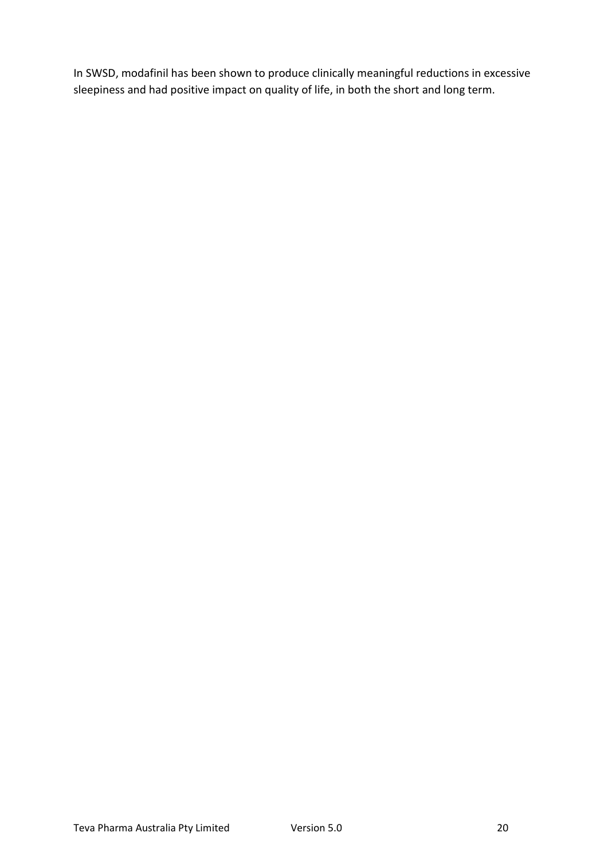In SWSD, modafinil has been shown to produce clinically meaningful reductions in excessive sleepiness and had positive impact on quality of life, in both the short and long term.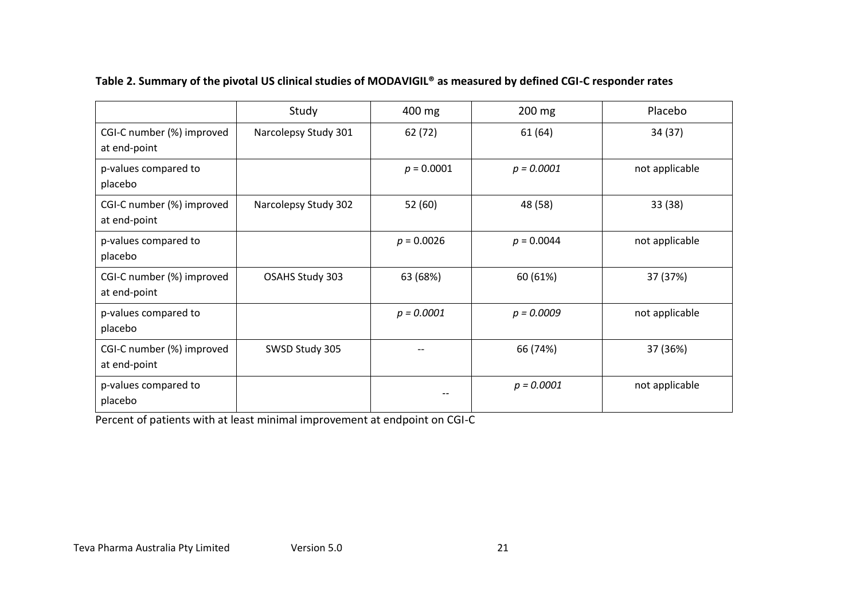|                                           | Study                | 400 mg       | 200 mg       | Placebo        |
|-------------------------------------------|----------------------|--------------|--------------|----------------|
| CGI-C number (%) improved<br>at end-point | Narcolepsy Study 301 | 62 (72)      | 61(64)       | 34 (37)        |
| p-values compared to<br>placebo           |                      | $p = 0.0001$ | $p = 0.0001$ | not applicable |
| CGI-C number (%) improved<br>at end-point | Narcolepsy Study 302 | 52 (60)      | 48 (58)      | 33(38)         |
| p-values compared to<br>placebo           |                      | $p = 0.0026$ | $p = 0.0044$ | not applicable |
| CGI-C number (%) improved<br>at end-point | OSAHS Study 303      | 63 (68%)     | 60 (61%)     | 37 (37%)       |
| p-values compared to<br>placebo           |                      | $p = 0.0001$ | $p = 0.0009$ | not applicable |
| CGI-C number (%) improved<br>at end-point | SWSD Study 305       | --           | 66 (74%)     | 37 (36%)       |
| p-values compared to<br>placebo           |                      | $- -$        | $p = 0.0001$ | not applicable |

# **Table 2. Summary of the pivotal US clinical studies of MODAVIGIL® as measured by defined CGI-C responder rates**

Percent of patients with at least minimal improvement at endpoint on CGI-C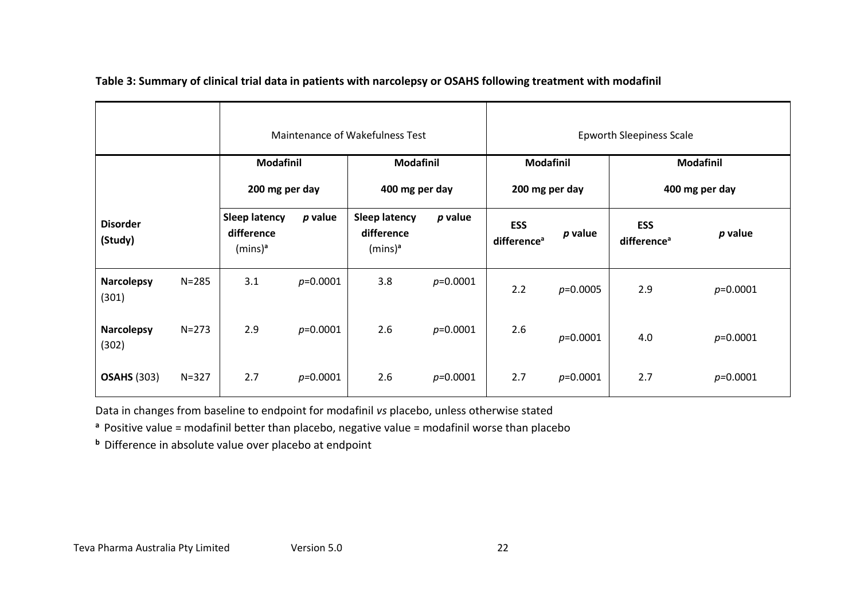|                            |           | Maintenance of Wakefulness Test                  |            |                                                  |              |                                       | <b>Epworth Sleepiness Scale</b> |                                       |                |
|----------------------------|-----------|--------------------------------------------------|------------|--------------------------------------------------|--------------|---------------------------------------|---------------------------------|---------------------------------------|----------------|
|                            |           | <b>Modafinil</b>                                 |            | <b>Modafinil</b>                                 |              | <b>Modafinil</b>                      |                                 | <b>Modafinil</b>                      |                |
|                            |           | 200 mg per day                                   |            | 400 mg per day                                   |              | 200 mg per day                        |                                 |                                       | 400 mg per day |
| <b>Disorder</b><br>(Study) |           | <b>Sleep latency</b><br>difference<br>$(mins)^a$ | $p$ value  | <b>Sleep latency</b><br>difference<br>$(mins)^a$ | $p$ value    | <b>ESS</b><br>difference <sup>a</sup> | $p$ value                       | <b>ESS</b><br>difference <sup>a</sup> | p value        |
| <b>Narcolepsy</b><br>(301) | $N = 285$ | 3.1                                              | $p=0.0001$ | 3.8                                              | $p=0.0001$   | 2.2                                   | $p=0.0005$                      | 2.9                                   | $p=0.0001$     |
| <b>Narcolepsy</b><br>(302) | $N = 273$ | 2.9                                              | $p=0.0001$ | 2.6                                              | $p=0.0001$   | 2.6                                   | $p=0.0001$                      | 4.0                                   | $p=0.0001$     |
| <b>OSAHS (303)</b>         | $N = 327$ | 2.7                                              | $p=0.0001$ | 2.6                                              | $p = 0.0001$ | 2.7                                   | $p=0.0001$                      | 2.7                                   | $p = 0.0001$   |

 **Table 3: Summary of clinical trial data in patients with narcolepsy or OSAHS following treatment with modafinil**

Data in changes from baseline to endpoint for modafinil *vs* placebo, unless otherwise stated

**<sup>a</sup>**Positive value = modafinil better than placebo, negative value = modafinil worse than placebo

**b** Difference in absolute value over placebo at endpoint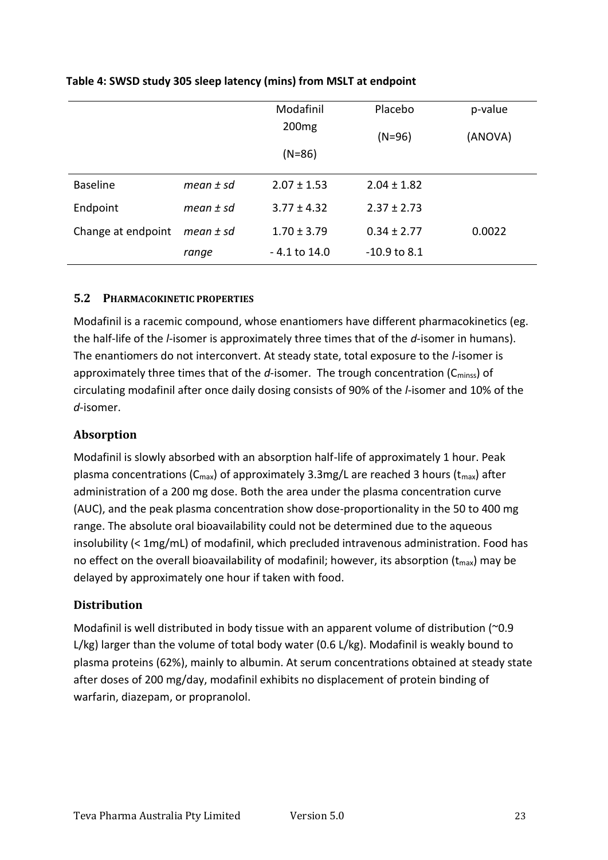|                    |             | Modafinil         | Placebo         | p-value |
|--------------------|-------------|-------------------|-----------------|---------|
|                    |             | 200 <sub>mg</sub> | $(N=96)$        | (ANOVA) |
|                    |             | $(N=86)$          |                 |         |
| <b>Baseline</b>    | mean $±$ sd | $2.07 \pm 1.53$   | $2.04 \pm 1.82$ |         |
| Endpoint           | mean $±$ sd | $3.77 \pm 4.32$   | $2.37 \pm 2.73$ |         |
| Change at endpoint | mean $±$ sd | $1.70 \pm 3.79$   | $0.34 \pm 2.77$ | 0.0022  |
|                    | range       | - 4.1 to 14.0     | $-10.9$ to 8.1  |         |

# **Table 4: SWSD study 305 sleep latency (mins) from MSLT at endpoint**

# **5.2 PHARMACOKINETIC PROPERTIES**

Modafinil is a racemic compound, whose enantiomers have different pharmacokinetics (eg. the half-life of the *l*-isomer is approximately three times that of the *d*-isomer in humans). The enantiomers do not interconvert. At steady state, total exposure to the *l*-isomer is approximately three times that of the *d*-isomer. The trough concentration (C<sub>minss</sub>) of circulating modafinil after once daily dosing consists of 90% of the *l*-isomer and 10% of the *d*-isomer.

# **Absorption**

Modafinil is slowly absorbed with an absorption half-life of approximately 1 hour. Peak plasma concentrations ( $C_{max}$ ) of approximately 3.3mg/L are reached 3 hours ( $t_{max}$ ) after administration of a 200 mg dose. Both the area under the plasma concentration curve (AUC), and the peak plasma concentration show dose-proportionality in the 50 to 400 mg range. The absolute oral bioavailability could not be determined due to the aqueous insolubility (< 1mg/mL) of modafinil, which precluded intravenous administration. Food has no effect on the overall bioavailability of modafinil; however, its absorption  $(t_{max})$  may be delayed by approximately one hour if taken with food.

# **Distribution**

Modafinil is well distributed in body tissue with an apparent volume of distribution (~0.9 L/kg) larger than the volume of total body water (0.6 L/kg). Modafinil is weakly bound to plasma proteins (62%), mainly to albumin. At serum concentrations obtained at steady state after doses of 200 mg/day, modafinil exhibits no displacement of protein binding of warfarin, diazepam, or propranolol.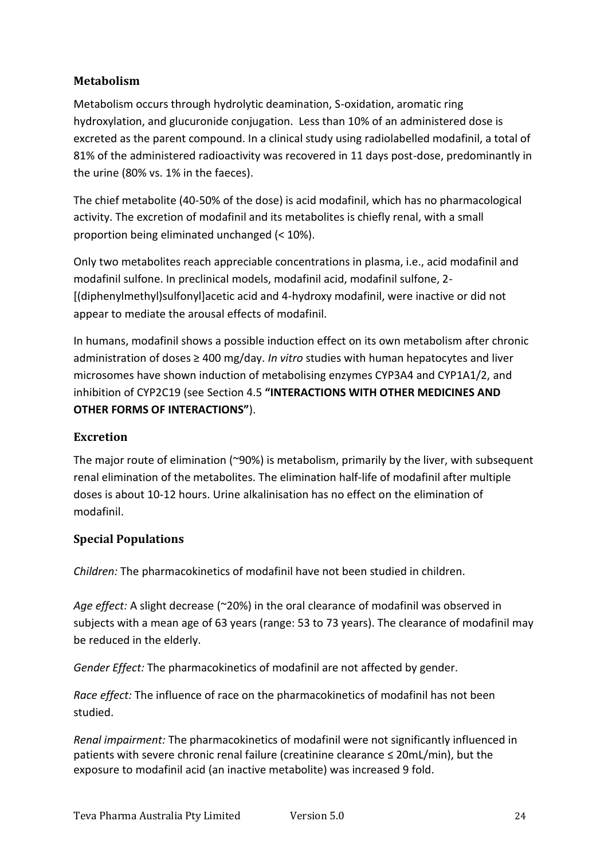# **Metabolism**

Metabolism occurs through hydrolytic deamination, S-oxidation, aromatic ring hydroxylation, and glucuronide conjugation. Less than 10% of an administered dose is excreted as the parent compound. In a clinical study using radiolabelled modafinil, a total of 81% of the administered radioactivity was recovered in 11 days post-dose, predominantly in the urine (80% vs. 1% in the faeces).

The chief metabolite (40-50% of the dose) is acid modafinil, which has no pharmacological activity. The excretion of modafinil and its metabolites is chiefly renal, with a small proportion being eliminated unchanged (< 10%).

Only two metabolites reach appreciable concentrations in plasma, i.e., acid modafinil and modafinil sulfone. In preclinical models, modafinil acid, modafinil sulfone, 2- [(diphenylmethyl)sulfonyl]acetic acid and 4-hydroxy modafinil, were inactive or did not appear to mediate the arousal effects of modafinil.

In humans, modafinil shows a possible induction effect on its own metabolism after chronic administration of doses ≥ 400 mg/day. *In vitro* studies with human hepatocytes and liver microsomes have shown induction of metabolising enzymes CYP3A4 and CYP1A1/2, and inhibition of CYP2C19 (see Section 4.5 **"INTERACTIONS WITH OTHER MEDICINES AND OTHER FORMS OF INTERACTIONS"**).

# **Excretion**

The major route of elimination (~90%) is metabolism, primarily by the liver, with subsequent renal elimination of the metabolites. The elimination half-life of modafinil after multiple doses is about 10-12 hours. Urine alkalinisation has no effect on the elimination of modafinil.

# **Special Populations**

*Children:* The pharmacokinetics of modafinil have not been studied in children.

*Age effect:* A slight decrease (~20%) in the oral clearance of modafinil was observed in subjects with a mean age of 63 years (range: 53 to 73 years). The clearance of modafinil may be reduced in the elderly.

*Gender Effect:* The pharmacokinetics of modafinil are not affected by gender.

*Race effect:* The influence of race on the pharmacokinetics of modafinil has not been studied.

*Renal impairment:* The pharmacokinetics of modafinil were not significantly influenced in patients with severe chronic renal failure (creatinine clearance ≤ 20mL/min), but the exposure to modafinil acid (an inactive metabolite) was increased 9 fold.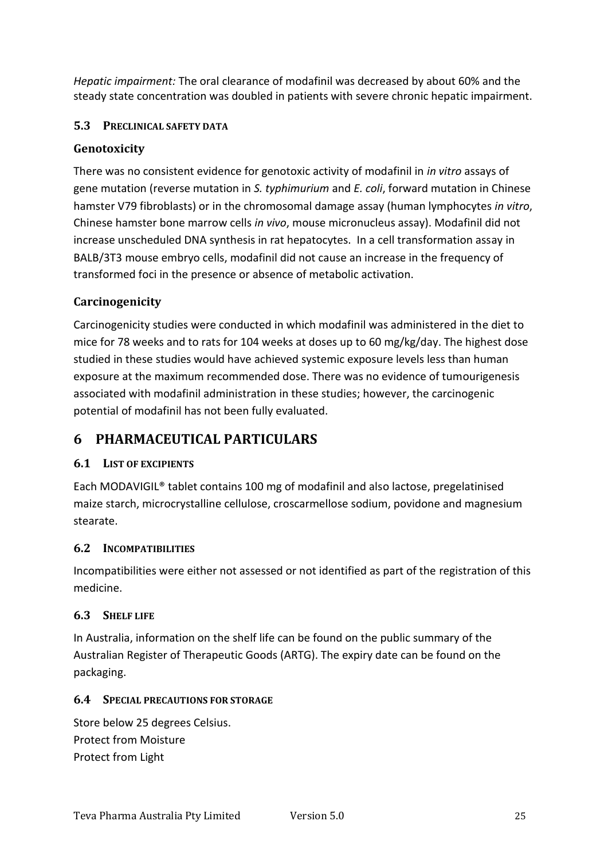*Hepatic impairment:* The oral clearance of modafinil was decreased by about 60% and the steady state concentration was doubled in patients with severe chronic hepatic impairment.

# **5.3 PRECLINICAL SAFETY DATA**

# **Genotoxicity**

There was no consistent evidence for genotoxic activity of modafinil in *in vitro* assays of gene mutation (reverse mutation in *S. typhimurium* and *E. coli*, forward mutation in Chinese hamster V79 fibroblasts) or in the chromosomal damage assay (human lymphocytes *in vitro*, Chinese hamster bone marrow cells *in vivo*, mouse micronucleus assay). Modafinil did not increase unscheduled DNA synthesis in rat hepatocytes. In a cell transformation assay in BALB/3T3 mouse embryo cells, modafinil did not cause an increase in the frequency of transformed foci in the presence or absence of metabolic activation.

# **Carcinogenicity**

Carcinogenicity studies were conducted in which modafinil was administered in the diet to mice for 78 weeks and to rats for 104 weeks at doses up to 60 mg/kg/day. The highest dose studied in these studies would have achieved systemic exposure levels less than human exposure at the maximum recommended dose. There was no evidence of tumourigenesis associated with modafinil administration in these studies; however, the carcinogenic potential of modafinil has not been fully evaluated.

# **6 PHARMACEUTICAL PARTICULARS**

# **6.1 LIST OF EXCIPIENTS**

Each MODAVIGIL® tablet contains 100 mg of modafinil and also lactose, pregelatinised maize starch, microcrystalline cellulose, croscarmellose sodium, povidone and magnesium stearate.

# **6.2 INCOMPATIBILITIES**

Incompatibilities were either not assessed or not identified as part of the registration of this medicine.

# **6.3 SHELF LIFE**

In Australia, information on the shelf life can be found on the public summary of the Australian Register of Therapeutic Goods (ARTG). The expiry date can be found on the packaging.

# **6.4 SPECIAL PRECAUTIONS FOR STORAGE**

Store below 25 degrees Celsius. Protect from Moisture Protect from Light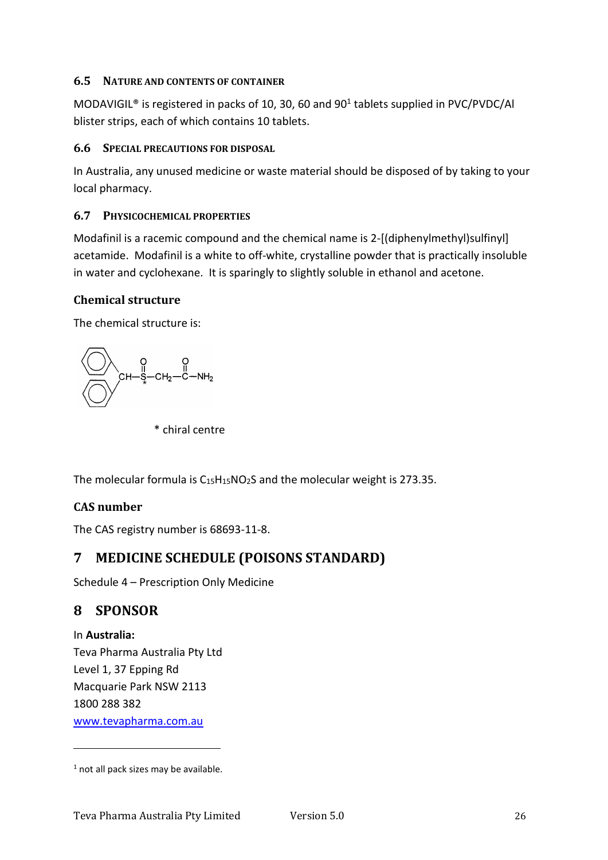# **6.5 NATURE AND CONTENTS OF CONTAINER**

MODAVIGIL<sup>®</sup> is registered in packs of 10, 30, 60 and 90<sup>1</sup> tablets supplied in PVC/PVDC/Al blister strips, each of which contains 10 tablets.

### **6.6 SPECIAL PRECAUTIONS FOR DISPOSAL**

In Australia, any unused medicine or waste material should be disposed of by taking to your local pharmacy.

# **6.7 PHYSICOCHEMICAL PROPERTIES**

Modafinil is a racemic compound and the chemical name is 2-[(diphenylmethyl)sulfinyl] acetamide. Modafinil is a white to off-white, crystalline powder that is practically insoluble in water and cyclohexane. It is sparingly to slightly soluble in ethanol and acetone.

# **Chemical structure**

The chemical structure is:

O O<br>CH-S-CH<sub>2</sub>-C-NH<sub>2</sub>

\* chiral centre

The molecular formula is  $C_{15}H_{15}NO_2S$  and the molecular weight is 273.35.

# **CAS number**

The CAS registry number is 68693-11-8.

# **7 MEDICINE SCHEDULE (POISONS STANDARD)**

Schedule 4 – Prescription Only Medicine

# **8 SPONSOR**

In **Australia:** Teva Pharma Australia Pty Ltd Level 1, 37 Epping Rd Macquarie Park NSW 2113 1800 288 382 [www.tevapharma.com.au](http://www.tevapharma.com.au/)

 $1$  not all pack sizes may be available.